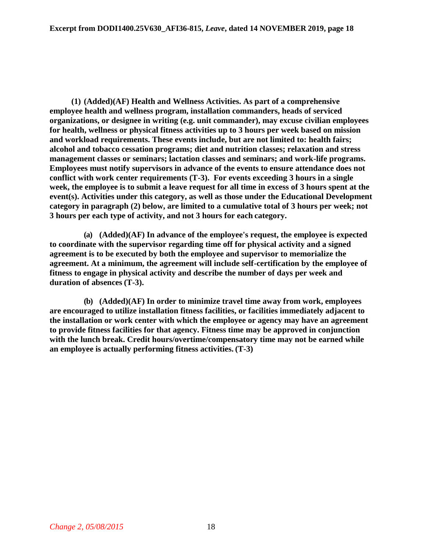**(1) (Added)(AF) Health and Wellness Activities. As part of a comprehensive employee health and wellness program, installation commanders, heads of serviced organizations, or designee in writing (e.g. unit commander), may excuse civilian employees for health, wellness or physical fitness activities up to 3 hours per week based on mission and workload requirements. These events include, but are not limited to: health fairs; alcohol and tobacco cessation programs; diet and nutrition classes; relaxation and stress management classes or seminars; lactation classes and seminars; and work-life programs. Employees must notify supervisors in advance of the events to ensure attendance does not conflict with work center requirements (T-3). For events exceeding 3 hours in a single week, the employee is to submit a leave request for all time in excess of 3 hours spent at the event(s). Activities under this category, as well as those under the Educational Development category in paragraph (2) below, are limited to a cumulative total of 3 hours per week; not 3 hours per each type of activity, and not 3 hours for each category.**

**(a) (Added)(AF) In advance of the employee's request, the employee is expected to coordinate with the supervisor regarding time off for physical activity and a signed agreement is to be executed by both the employee and supervisor to memorialize the agreement. At a minimum, the agreement will include self-certification by the employee of fitness to engage in physical activity and describe the number of days per week and duration of absences (T-3).**

**(b) (Added)(AF) In order to minimize travel time away from work, employees are encouraged to utilize installation fitness facilities, or facilities immediately adjacent to the installation or work center with which the employee or agency may have an agreement to provide fitness facilities for that agency. Fitness time may be approved in conjunction with the lunch break. Credit hours/overtime/compensatory time may not be earned while an employee is actually performing fitness activities. (T-3)**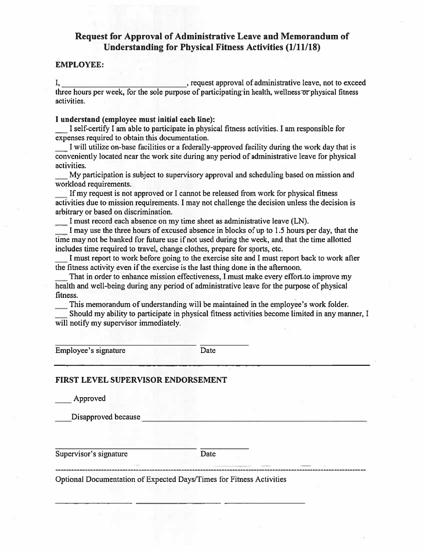# Request for Approval of Administrative Leave and Memorandum of **Understanding for Physical Fitness Activities (1/11/18)**

## **EMPLOYEE:**

activities.

## I understand (employee must initial each line):

I self-certify I am able to participate in physical fitness activities. I am responsible for expenses required to obtain this documentation.

I will utilize on-base facilities or a federally-approved facility during the work day that is conveniently located near the work site during any period of administrative leave for physical activities.

My participation is subject to supervisory approval and scheduling based on mission and workload requirements.

If my request is not approved or I cannot be released from work for physical fitness activities due to mission requirements. I may not challenge the decision unless the decision is arbitrary or based on discrimination.

I must record each absence on my time sheet as administrative leave (LN).

I may use the three hours of excused absence in blocks of up to 1.5 hours per day, that the time may not be banked for future use if not used during the week, and that the time allotted includes time required to travel, change clothes, prepare for sports, etc.

I must report to work before going to the exercise site and I must report back to work after the fitness activity even if the exercise is the last thing done in the afternoon.

That in order to enhance mission effectiveness, I must make every effort to improve my health and well-being during any period of administrative leave for the purpose of physical fitness.

This memorandum of understanding will be maintained in the employee's work folder.

Should my ability to participate in physical fitness activities become limited in any manner, I will notify my supervisor immediately.

Employee's signature

Date

## **FIRST LEVEL SUPERVISOR ENDORSEMENT**

Approved

Disapproved because

Supervisor's signature

**Date** 

Optional Documentation of Expected Days/Times for Fitness Activities